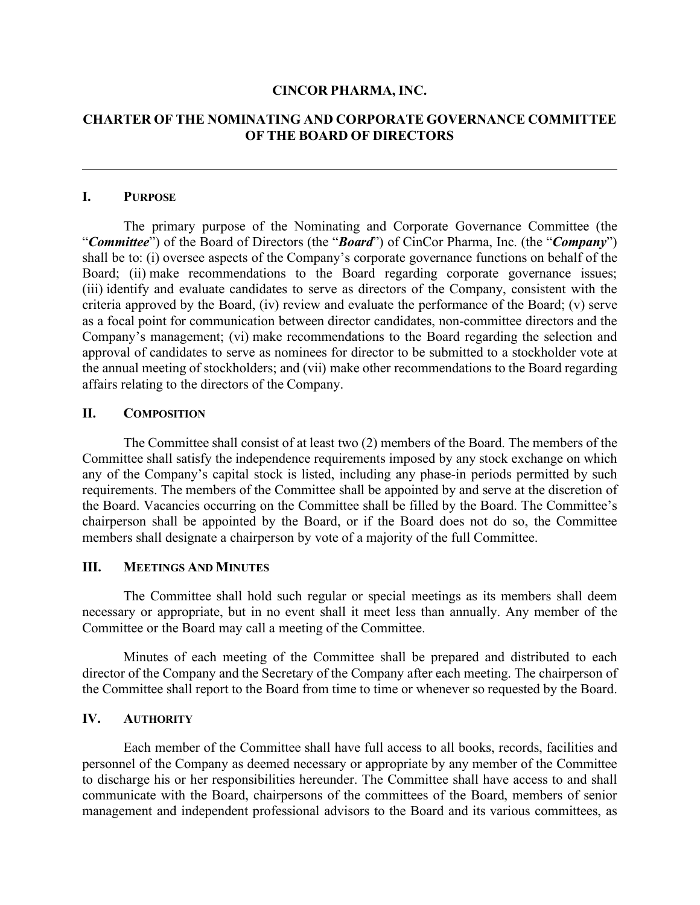#### **CINCOR PHARMA, INC.**

# **CHARTER OF THE NOMINATING AND CORPORATE GOVERNANCE COMMITTEE OF THE BOARD OF DIRECTORS**

#### **I. PURPOSE**

The primary purpose of the Nominating and Corporate Governance Committee (the "*Committee*") of the Board of Directors (the "*Board*") of CinCor Pharma, Inc. (the "*Company*") shall be to: (i) oversee aspects of the Company's corporate governance functions on behalf of the Board; (ii) make recommendations to the Board regarding corporate governance issues; (iii) identify and evaluate candidates to serve as directors of the Company, consistent with the criteria approved by the Board, (iv) review and evaluate the performance of the Board; (v) serve as a focal point for communication between director candidates, non-committee directors and the Company's management; (vi) make recommendations to the Board regarding the selection and approval of candidates to serve as nominees for director to be submitted to a stockholder vote at the annual meeting of stockholders; and (vii) make other recommendations to the Board regarding affairs relating to the directors of the Company.

## **II. COMPOSITION**

The Committee shall consist of at least two (2) members of the Board. The members of the Committee shall satisfy the independence requirements imposed by any stock exchange on which any of the Company's capital stock is listed, including any phase-in periods permitted by such requirements. The members of the Committee shall be appointed by and serve at the discretion of the Board. Vacancies occurring on the Committee shall be filled by the Board. The Committee's chairperson shall be appointed by the Board, or if the Board does not do so, the Committee members shall designate a chairperson by vote of a majority of the full Committee.

#### **III. MEETINGS AND MINUTES**

The Committee shall hold such regular or special meetings as its members shall deem necessary or appropriate, but in no event shall it meet less than annually. Any member of the Committee or the Board may call a meeting of the Committee.

Minutes of each meeting of the Committee shall be prepared and distributed to each director of the Company and the Secretary of the Company after each meeting. The chairperson of the Committee shall report to the Board from time to time or whenever so requested by the Board.

## **IV. AUTHORITY**

Each member of the Committee shall have full access to all books, records, facilities and personnel of the Company as deemed necessary or appropriate by any member of the Committee to discharge his or her responsibilities hereunder. The Committee shall have access to and shall communicate with the Board, chairpersons of the committees of the Board, members of senior management and independent professional advisors to the Board and its various committees, as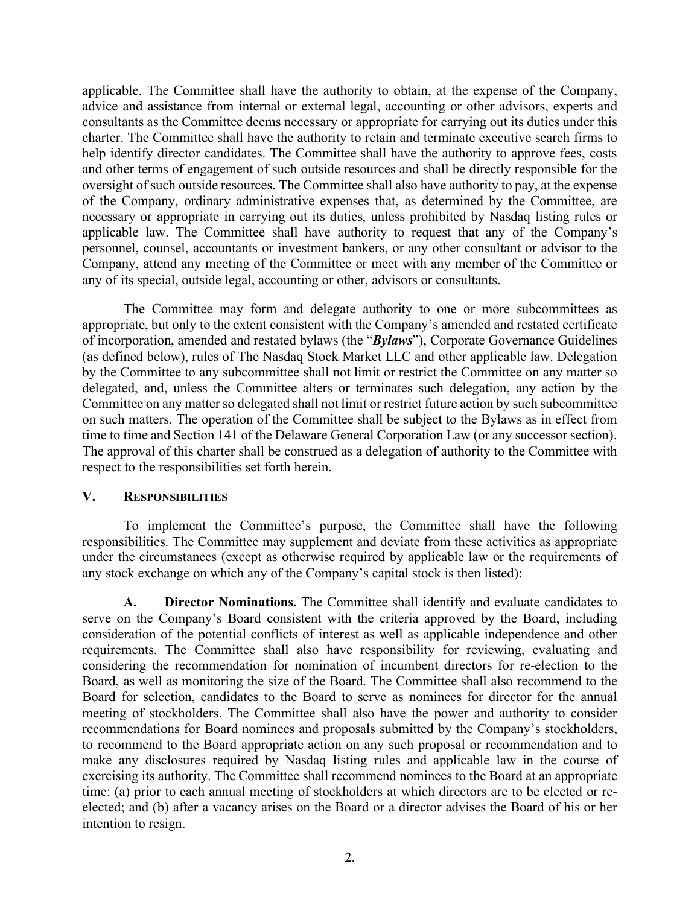applicable. The Committee shall have the authority to obtain, at the expense of the Company, advice and assistance from internal or external legal, accounting or other advisors, experts and consultants as the Committee deems necessary or appropriate for carrying out its duties under this charter. The Committee shall have the authority to retain and terminate executive search firms to help identify director candidates. The Committee shall have the authority to approve fees, costs and other terms of engagement of such outside resources and shall be directly responsible for the oversight of such outside resources. The Committee shall also have authority to pay, at the expense of the Company, ordinary administrative expenses that, as determined by the Committee, are necessary or appropriate in carrying out its duties, unless prohibited by Nasdaq listing rules or applicable law. The Committee shall have authority to request that any of the Company's personnel, counsel, accountants or investment bankers, or any other consultant or advisor to the Company, attend any meeting of the Committee or meet with any member of the Committee or any of its special, outside legal, accounting or other, advisors or consultants.

The Committee may form and delegate authority to one or more subcommittees as appropriate, but only to the extent consistent with the Company's amended and restated certificate of incorporation, amended and restated bylaws (the "*Bylaws*"), Corporate Governance Guidelines (as defined below), rules of The Nasdaq Stock Market LLC and other applicable law. Delegation by the Committee to any subcommittee shall not limit or restrict the Committee on any matter so delegated, and, unless the Committee alters or terminates such delegation, any action by the Committee on any matter so delegated shall not limit or restrict future action by such subcommittee on such matters. The operation of the Committee shall be subject to the Bylaws as in effect from time to time and Section 141 of the Delaware General Corporation Law (or any successor section). The approval of this charter shall be construed as a delegation of authority to the Committee with respect to the responsibilities set forth herein.

## **V. RESPONSIBILITIES**

To implement the Committee's purpose, the Committee shall have the following responsibilities. The Committee may supplement and deviate from these activities as appropriate under the circumstances (except as otherwise required by applicable law or the requirements of any stock exchange on which any of the Company's capital stock is then listed):

**A. Director Nominations.** The Committee shall identify and evaluate candidates to serve on the Company's Board consistent with the criteria approved by the Board, including consideration of the potential conflicts of interest as well as applicable independence and other requirements. The Committee shall also have responsibility for reviewing, evaluating and considering the recommendation for nomination of incumbent directors for re-election to the Board, as well as monitoring the size of the Board. The Committee shall also recommend to the Board for selection, candidates to the Board to serve as nominees for director for the annual meeting of stockholders. The Committee shall also have the power and authority to consider recommendations for Board nominees and proposals submitted by the Company's stockholders, to recommend to the Board appropriate action on any such proposal or recommendation and to make any disclosures required by Nasdaq listing rules and applicable law in the course of exercising its authority. The Committee shall recommend nominees to the Board at an appropriate time: (a) prior to each annual meeting of stockholders at which directors are to be elected or reelected; and (b) after a vacancy arises on the Board or a director advises the Board of his or her intention to resign.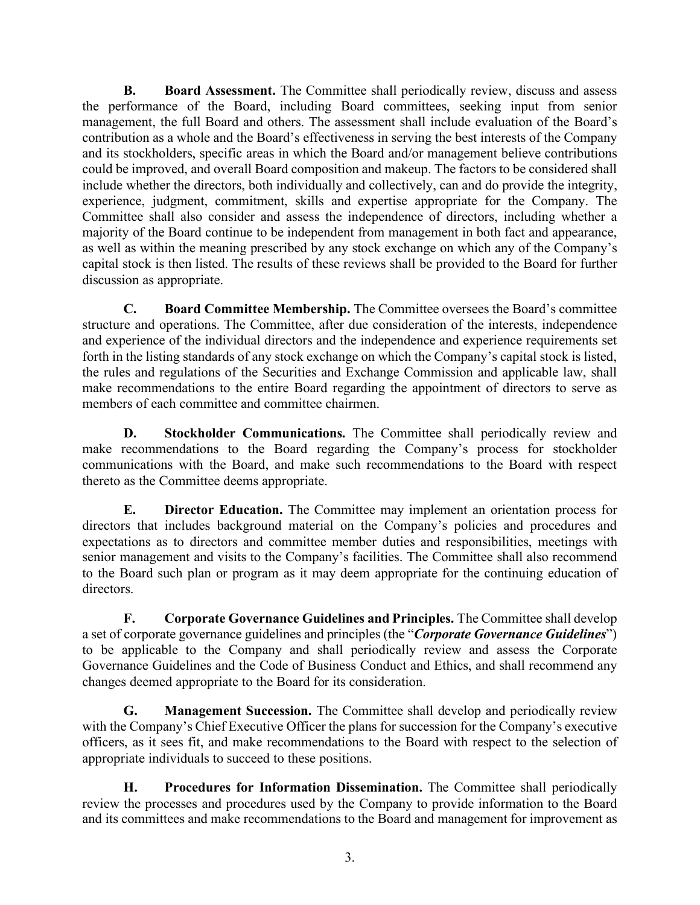**B. Board Assessment.** The Committee shall periodically review, discuss and assess the performance of the Board, including Board committees, seeking input from senior management, the full Board and others. The assessment shall include evaluation of the Board's contribution as a whole and the Board's effectiveness in serving the best interests of the Company and its stockholders, specific areas in which the Board and/or management believe contributions could be improved, and overall Board composition and makeup. The factors to be considered shall include whether the directors, both individually and collectively, can and do provide the integrity, experience, judgment, commitment, skills and expertise appropriate for the Company. The Committee shall also consider and assess the independence of directors, including whether a majority of the Board continue to be independent from management in both fact and appearance, as well as within the meaning prescribed by any stock exchange on which any of the Company's capital stock is then listed. The results of these reviews shall be provided to the Board for further discussion as appropriate.

**C. Board Committee Membership.** The Committee oversees the Board's committee structure and operations. The Committee, after due consideration of the interests, independence and experience of the individual directors and the independence and experience requirements set forth in the listing standards of any stock exchange on which the Company's capital stock is listed, the rules and regulations of the Securities and Exchange Commission and applicable law, shall make recommendations to the entire Board regarding the appointment of directors to serve as members of each committee and committee chairmen.

**D. Stockholder Communications.** The Committee shall periodically review and make recommendations to the Board regarding the Company's process for stockholder communications with the Board, and make such recommendations to the Board with respect thereto as the Committee deems appropriate.

**E. Director Education.** The Committee may implement an orientation process for directors that includes background material on the Company's policies and procedures and expectations as to directors and committee member duties and responsibilities, meetings with senior management and visits to the Company's facilities. The Committee shall also recommend to the Board such plan or program as it may deem appropriate for the continuing education of directors.

**F. Corporate Governance Guidelines and Principles.** The Committee shall develop a set of corporate governance guidelines and principles (the "*Corporate Governance Guidelines*") to be applicable to the Company and shall periodically review and assess the Corporate Governance Guidelines and the Code of Business Conduct and Ethics, and shall recommend any changes deemed appropriate to the Board for its consideration.

**G. Management Succession.** The Committee shall develop and periodically review with the Company's Chief Executive Officer the plans for succession for the Company's executive officers, as it sees fit, and make recommendations to the Board with respect to the selection of appropriate individuals to succeed to these positions.

**H. Procedures for Information Dissemination.** The Committee shall periodically review the processes and procedures used by the Company to provide information to the Board and its committees and make recommendations to the Board and management for improvement as